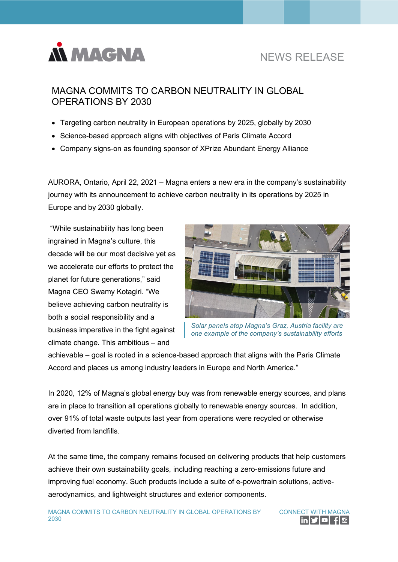

# NEWS RELEASE

## MAGNA COMMITS TO CARBON NEUTRALITY IN GLOBAL OPERATIONS BY 2030

- Targeting carbon neutrality in European operations by 2025, globally by 2030
- Science-based approach aligns with objectives of Paris Climate Accord
- Company signs-on as founding sponsor of XPrize Abundant Energy Alliance

AURORA, Ontario, April 22, 2021 – Magna enters a new era in the company's sustainability journey with its announcement to achieve carbon neutrality in its operations by 2025 in Europe and by 2030 globally.

 "While sustainability has long been ingrained in Magna's culture, this decade will be our most decisive yet as we accelerate our efforts to protect the planet for future generations," said Magna CEO Swamy Kotagiri. "We believe achieving carbon neutrality is both a social responsibility and a business imperative in the fight against climate change. This ambitious – and



*Solar panels atop Magna's Graz, Austria facility are one example of the company's sustainability efforts*

achievable – goal is rooted in a science-based approach that aligns with the Paris Climate Accord and places us among industry leaders in Europe and North America."

In 2020, 12% of Magna's global energy buy was from renewable energy sources, and plans are in place to transition all operations globally to renewable energy sources. In addition, over 91% of total waste outputs last year from operations were recycled or otherwise diverted from landfills.

At the same time, the company remains focused on delivering products that help customers achieve their own sustainability goals, including reaching a zero-emissions future and improving fuel economy. Such products include a suite of e-powertrain solutions, activeaerodynamics, and lightweight structures and exterior components.

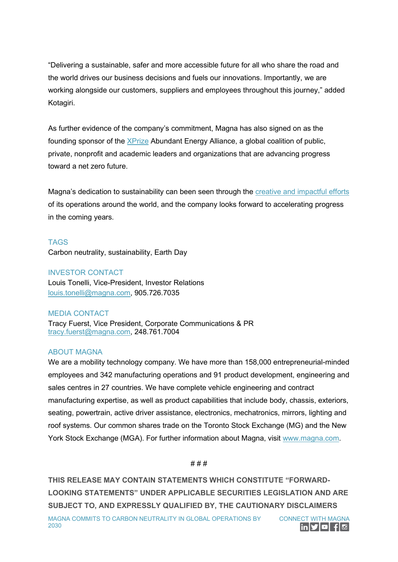"Delivering a sustainable, safer and more accessible future for all who share the road and the world drives our business decisions and fuels our innovations. Importantly, we are working alongside our customers, suppliers and employees throughout this journey," added Kotagiri.

As further evidence of the company's commitment, Magna has also signed on as the founding sponsor of the **XPrize Abundant Energy Alliance**, a global coalition of public, private, nonprofit and academic leaders and organizations that are advancing progress toward a net zero future.

Magna's dedication to sustainability can been seen through the [creative and impactful efforts](https://www.magna.com/company/sustainability/our-stories) of its operations around the world, and the company looks forward to accelerating progress in the coming years.

### TAGS

Carbon neutrality, sustainability, Earth Day

#### INVESTOR CONTACT

Louis Tonelli, Vice-President, Investor Relations [louis.tonelli@magna.com,](mailto:louis.tonelli@magna.com) 905.726.7035

#### MEDIA CONTACT

Tracy Fuerst, Vice President, Corporate Communications & PR [tracy.fuerst@magna.com,](mailto:tracy.fuerst@magna.com) 248.761.7004

#### ABOUT MAGNA

We are a mobility technology company. We have more than 158,000 entrepreneurial-minded employees and 342 manufacturing operations and 91 product development, engineering and sales centres in 27 countries. We have complete vehicle engineering and contract manufacturing expertise, as well as product capabilities that include body, chassis, exteriors, seating, powertrain, active driver assistance, electronics, mechatronics, mirrors, lighting and roof systems. Our common shares trade on the Toronto Stock Exchange (MG) and the New York Stock Exchange (MGA). For further information about Magna, visit [www.magna.com.](http://www.magna.com/)

#### # # #

**THIS RELEASE MAY CONTAIN STATEMENTS WHICH CONSTITUTE "FORWARD-LOOKING STATEMENTS" UNDER APPLICABLE SECURITIES LEGISLATION AND ARE SUBJECT TO, AND EXPRESSLY QUALIFIED BY, THE CAUTIONARY DISCLAIMERS**